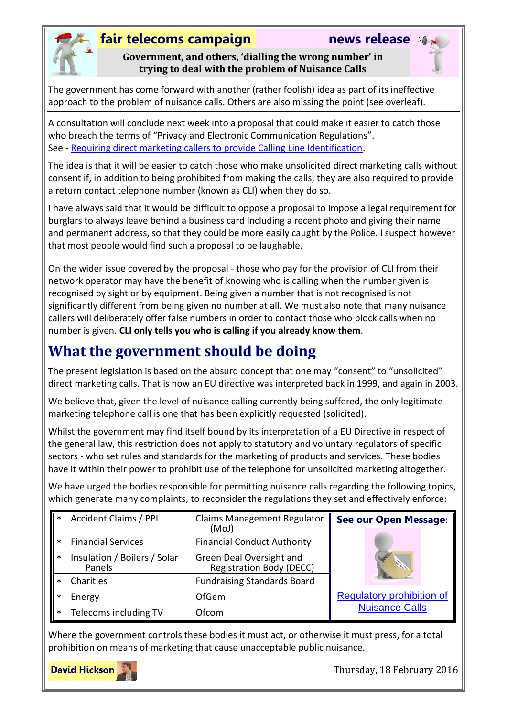

### **fair telecoms campaign news release**

**Government, and others, 'dialling the wrong number' in trying to deal with the problem of Nuisance Calls**

The government has come forward with another (rather foolish) idea as part of its ineffective approach to the problem of nuisance calls. Others are also missing the point (see overleaf).

A consultation will conclude next week into a proposal that could make it easier to catch those who breach the terms of "Privacy and Electronic Communication Regulations". See - [Requiring direct marketing callers to provide Calling Line Identification.](https://www.gov.uk/government/consultations/requiring-direct-marketing-callers-to-provide-calling-line-identification)

The idea is that it will be easier to catch those who make unsolicited direct marketing calls without consent if, in addition to being prohibited from making the calls, they are also required to provide a return contact telephone number (known as CLI) when they do so.

I have always said that it would be difficult to oppose a proposal to impose a legal requirement for burglars to always leave behind a business card including a recent photo and giving their name and permanent address, so that they could be more easily caught by the Police. I suspect however that most people would find such a proposal to be laughable.

On the wider issue covered by the proposal - those who pay for the provision of CLI from their network operator may have the benefit of knowing who is calling when the number given is recognised by sight or by equipment. Being given a number that is not recognised is not significantly different from being given no number at all. We must also note that many nuisance callers will deliberately offer false numbers in order to contact those who block calls when no number is given. **CLI only tells you who is calling if you already know them**.

# **What the government should be doing**

The present legislation is based on the absurd concept that one may "consent" to "unsolicited" direct marketing calls. That is how an EU directive was interpreted back in 1999, and again in 2003.

We believe that, given the level of nuisance calling currently being suffered, the only legitimate marketing telephone call is one that has been explicitly requested (solicited).

Whilst the government may find itself bound by its interpretation of a EU Directive in respect of the general law, this restriction does not apply to statutory and voluntary regulators of specific sectors - who set rules and standards for the marketing of products and services. These bodies have it within their power to prohibit use of the telephone for unsolicited marketing altogether.

We have urged the bodies responsible for permitting nuisance calls regarding the following topics, which generate many complaints, to reconsider the regulations they set and effectively enforce:

| $\ast$ | <b>Accident Claims / PPI</b>           | Claims Management Regulator<br>(MoJ)                        | See our Open Message:            |
|--------|----------------------------------------|-------------------------------------------------------------|----------------------------------|
| $\ast$ | <b>Financial Services</b>              | <b>Financial Conduct Authority</b>                          |                                  |
| $\ast$ | Insulation / Boilers / Solar<br>Panels | Green Deal Oversight and<br><b>Registration Body (DECC)</b> |                                  |
|        | Charities                              | <b>Fundraising Standards Board</b>                          |                                  |
|        | Energy                                 | <b>OfGem</b>                                                | <b>Regulatory prohibition of</b> |
| ∗      | Telecoms including TV                  | Ofcom                                                       | <b>Nuisance Calls</b>            |

Where the government controls these bodies it must act, or otherwise it must press, for a total prohibition on means of marketing that cause unacceptable public nuisance.



Thursday, 18 February 2016